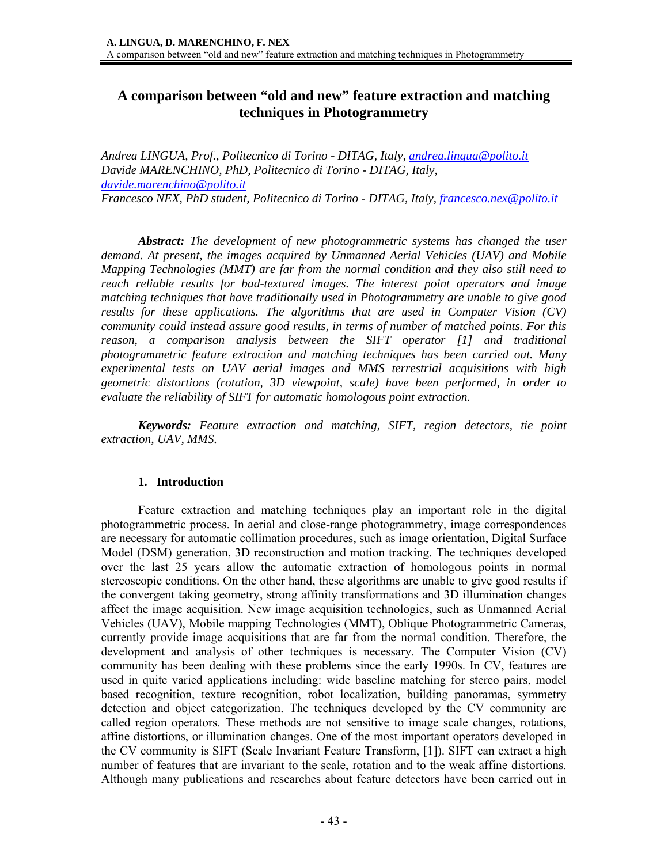# **A comparison between "old and new" feature extraction and matching techniques in Photogrammetry**

*Andrea LINGUA, Prof., Politecnico di Torino - DITAG, Italy, andrea.lingua@polito.it Davide MARENCHINO, PhD, Politecnico di Torino - DITAG, Italy, davide.marenchino@polito.it Francesco NEX, PhD student, Politecnico di Torino - DITAG, Italy, francesco.nex@polito.it* 

*Abstract: The development of new photogrammetric systems has changed the user demand. At present, the images acquired by Unmanned Aerial Vehicles (UAV) and Mobile Mapping Technologies (MMT) are far from the normal condition and they also still need to reach reliable results for bad-textured images. The interest point operators and image matching techniques that have traditionally used in Photogrammetry are unable to give good results for these applications. The algorithms that are used in Computer Vision (CV) community could instead assure good results, in terms of number of matched points. For this reason, a comparison analysis between the SIFT operator [1] and traditional photogrammetric feature extraction and matching techniques has been carried out. Many experimental tests on UAV aerial images and MMS terrestrial acquisitions with high geometric distortions (rotation, 3D viewpoint, scale) have been performed, in order to evaluate the reliability of SIFT for automatic homologous point extraction.* 

*Keywords: Feature extraction and matching, SIFT, region detectors, tie point extraction, UAV, MMS.*

#### **1. Introduction**

Feature extraction and matching techniques play an important role in the digital photogrammetric process. In aerial and close-range photogrammetry, image correspondences are necessary for automatic collimation procedures, such as image orientation, Digital Surface Model (DSM) generation, 3D reconstruction and motion tracking. The techniques developed over the last 25 years allow the automatic extraction of homologous points in normal stereoscopic conditions. On the other hand, these algorithms are unable to give good results if the convergent taking geometry, strong affinity transformations and 3D illumination changes affect the image acquisition. New image acquisition technologies, such as Unmanned Aerial Vehicles (UAV), Mobile mapping Technologies (MMT), Oblique Photogrammetric Cameras, currently provide image acquisitions that are far from the normal condition. Therefore, the development and analysis of other techniques is necessary. The Computer Vision (CV) community has been dealing with these problems since the early 1990s. In CV, features are used in quite varied applications including: wide baseline matching for stereo pairs, model based recognition, texture recognition, robot localization, building panoramas, symmetry detection and object categorization. The techniques developed by the CV community are called region operators. These methods are not sensitive to image scale changes, rotations, affine distortions, or illumination changes. One of the most important operators developed in the CV community is SIFT (Scale Invariant Feature Transform, [1]). SIFT can extract a high number of features that are invariant to the scale, rotation and to the weak affine distortions. Although many publications and researches about feature detectors have been carried out in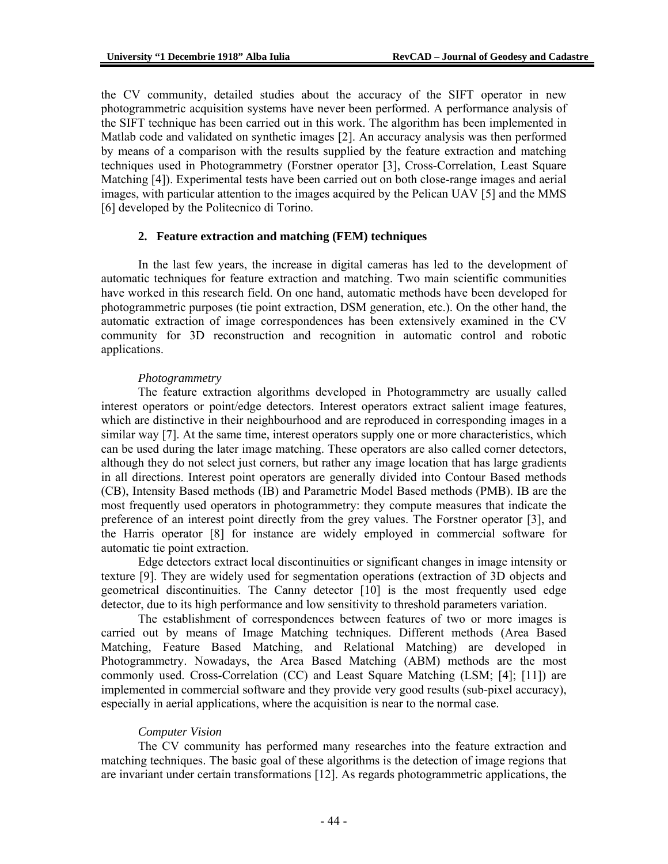the CV community, detailed studies about the accuracy of the SIFT operator in new photogrammetric acquisition systems have never been performed. A performance analysis of the SIFT technique has been carried out in this work. The algorithm has been implemented in Matlab code and validated on synthetic images [2]. An accuracy analysis was then performed by means of a comparison with the results supplied by the feature extraction and matching techniques used in Photogrammetry (Forstner operator [3], Cross-Correlation, Least Square Matching [4]). Experimental tests have been carried out on both close-range images and aerial images, with particular attention to the images acquired by the Pelican UAV [5] and the MMS [6] developed by the Politecnico di Torino.

#### **2. Feature extraction and matching (FEM) techniques**

In the last few years, the increase in digital cameras has led to the development of automatic techniques for feature extraction and matching. Two main scientific communities have worked in this research field. On one hand, automatic methods have been developed for photogrammetric purposes (tie point extraction, DSM generation, etc.). On the other hand, the automatic extraction of image correspondences has been extensively examined in the CV community for 3D reconstruction and recognition in automatic control and robotic applications.

#### *Photogrammetry*

The feature extraction algorithms developed in Photogrammetry are usually called interest operators or point/edge detectors. Interest operators extract salient image features, which are distinctive in their neighbourhood and are reproduced in corresponding images in a similar way [7]. At the same time, interest operators supply one or more characteristics, which can be used during the later image matching. These operators are also called corner detectors, although they do not select just corners, but rather any image location that has large gradients in all directions. Interest point operators are generally divided into Contour Based methods (CB), Intensity Based methods (IB) and Parametric Model Based methods (PMB). IB are the most frequently used operators in photogrammetry: they compute measures that indicate the preference of an interest point directly from the grey values. The Forstner operator [3], and the Harris operator [8] for instance are widely employed in commercial software for automatic tie point extraction.

Edge detectors extract local discontinuities or significant changes in image intensity or texture [9]. They are widely used for segmentation operations (extraction of 3D objects and geometrical discontinuities. The Canny detector [10] is the most frequently used edge detector, due to its high performance and low sensitivity to threshold parameters variation.

The establishment of correspondences between features of two or more images is carried out by means of Image Matching techniques. Different methods (Area Based Matching, Feature Based Matching, and Relational Matching) are developed in Photogrammetry. Nowadays, the Area Based Matching (ABM) methods are the most commonly used. Cross-Correlation (CC) and Least Square Matching (LSM; [4]; [11]) are implemented in commercial software and they provide very good results (sub-pixel accuracy), especially in aerial applications, where the acquisition is near to the normal case.

#### *Computer Vision*

The CV community has performed many researches into the feature extraction and matching techniques. The basic goal of these algorithms is the detection of image regions that are invariant under certain transformations [12]. As regards photogrammetric applications, the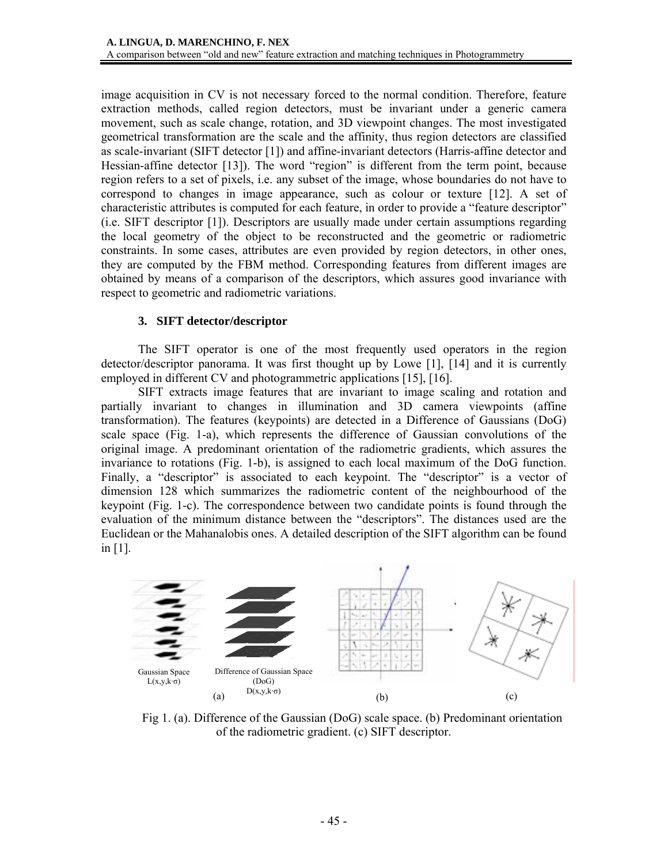image acquisition in CV is not necessary forced to the normal condition. Therefore, feature extraction methods, called region detectors, must be invariant under a generic camera movement, such as scale change, rotation, and 3D viewpoint changes. The most investigated geometrical transformation are the scale and the affinity, thus region detectors are classified as scale-invariant (SIFT detector [1]) and affine-invariant detectors (Harris-affine detector and Hessian-affine detector [13]). The word "region" is different from the term point, because region refers to a set of pixels, i.e. any subset of the image, whose boundaries do not have to correspond to changes in image appearance, such as colour or texture [12]. A set of characteristic attributes is computed for each feature, in order to provide a "feature descriptor" (i.e. SIFT descriptor [1]). Descriptors are usually made under certain assumptions regarding the local geometry of the object to be reconstructed and the geometric or radiometric constraints. In some cases, attributes are even provided by region detectors, in other ones, they are computed by the FBM method. Corresponding features from different images are obtained by means of a comparison of the descriptors, which assures good invariance with respect to geometric and radiometric variations.

# **3. SIFT detector/descriptor**

The SIFT operator is one of the most frequently used operators in the region detector/descriptor panorama. It was first thought up by Lowe [1], [14] and it is currently employed in different CV and photogrammetric applications [15], [16].

SIFT extracts image features that are invariant to image scaling and rotation and partially invariant to changes in illumination and 3D camera viewpoints (affine transformation). The features (keypoints) are detected in a Difference of Gaussians (DoG) scale space (Fig. 1-a), which represents the difference of Gaussian convolutions of the original image. A predominant orientation of the radiometric gradients, which assures the invariance to rotations (Fig. 1-b), is assigned to each local maximum of the DoG function. Finally, a "descriptor" is associated to each keypoint. The "descriptor" is a vector of dimension 128 which summarizes the radiometric content of the neighbourhood of the keypoint (Fig. 1-c). The correspondence between two candidate points is found through the evaluation of the minimum distance between the "descriptors". The distances used are the Euclidean or the Mahanalobis ones. A detailed description of the SIFT algorithm can be found in [1].



Fig 1. (a). Difference of the Gaussian (DoG) scale space. (b) Predominant orientation of the radiometric gradient. (c) SIFT descriptor.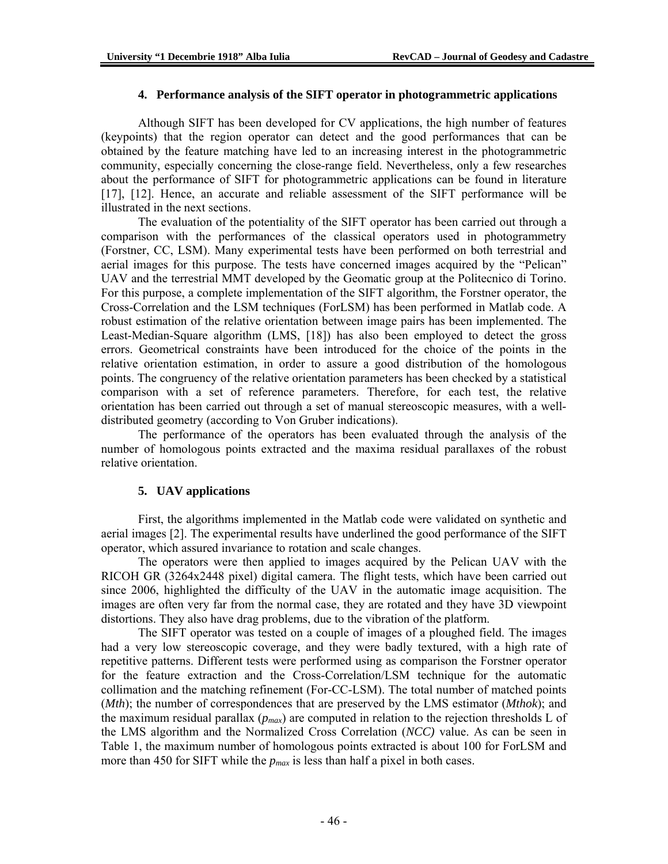### **4. Performance analysis of the SIFT operator in photogrammetric applications**

Although SIFT has been developed for CV applications, the high number of features (keypoints) that the region operator can detect and the good performances that can be obtained by the feature matching have led to an increasing interest in the photogrammetric community, especially concerning the close-range field. Nevertheless, only a few researches about the performance of SIFT for photogrammetric applications can be found in literature [17], [12]. Hence, an accurate and reliable assessment of the SIFT performance will be illustrated in the next sections.

The evaluation of the potentiality of the SIFT operator has been carried out through a comparison with the performances of the classical operators used in photogrammetry (Forstner, CC, LSM). Many experimental tests have been performed on both terrestrial and aerial images for this purpose. The tests have concerned images acquired by the "Pelican" UAV and the terrestrial MMT developed by the Geomatic group at the Politecnico di Torino. For this purpose, a complete implementation of the SIFT algorithm, the Forstner operator, the Cross-Correlation and the LSM techniques (ForLSM) has been performed in Matlab code. A robust estimation of the relative orientation between image pairs has been implemented. The Least-Median-Square algorithm (LMS, [18]) has also been employed to detect the gross errors. Geometrical constraints have been introduced for the choice of the points in the relative orientation estimation, in order to assure a good distribution of the homologous points. The congruency of the relative orientation parameters has been checked by a statistical comparison with a set of reference parameters. Therefore, for each test, the relative orientation has been carried out through a set of manual stereoscopic measures, with a welldistributed geometry (according to Von Gruber indications).

The performance of the operators has been evaluated through the analysis of the number of homologous points extracted and the maxima residual parallaxes of the robust relative orientation.

# **5. UAV applications**

First, the algorithms implemented in the Matlab code were validated on synthetic and aerial images [2]. The experimental results have underlined the good performance of the SIFT operator, which assured invariance to rotation and scale changes.

The operators were then applied to images acquired by the Pelican UAV with the RICOH GR (3264x2448 pixel) digital camera. The flight tests, which have been carried out since 2006, highlighted the difficulty of the UAV in the automatic image acquisition. The images are often very far from the normal case, they are rotated and they have 3D viewpoint distortions. They also have drag problems, due to the vibration of the platform.

The SIFT operator was tested on a couple of images of a ploughed field. The images had a very low stereoscopic coverage, and they were badly textured, with a high rate of repetitive patterns. Different tests were performed using as comparison the Forstner operator for the feature extraction and the Cross-Correlation/LSM technique for the automatic collimation and the matching refinement (For-CC-LSM). The total number of matched points (*Mth*); the number of correspondences that are preserved by the LMS estimator (*Mthok*); and the maximum residual parallax  $(p_{max})$  are computed in relation to the rejection thresholds L of the LMS algorithm and the Normalized Cross Correlation (*NCC)* value. As can be seen in Table 1, the maximum number of homologous points extracted is about 100 for ForLSM and more than 450 for SIFT while the  $p_{max}$  is less than half a pixel in both cases.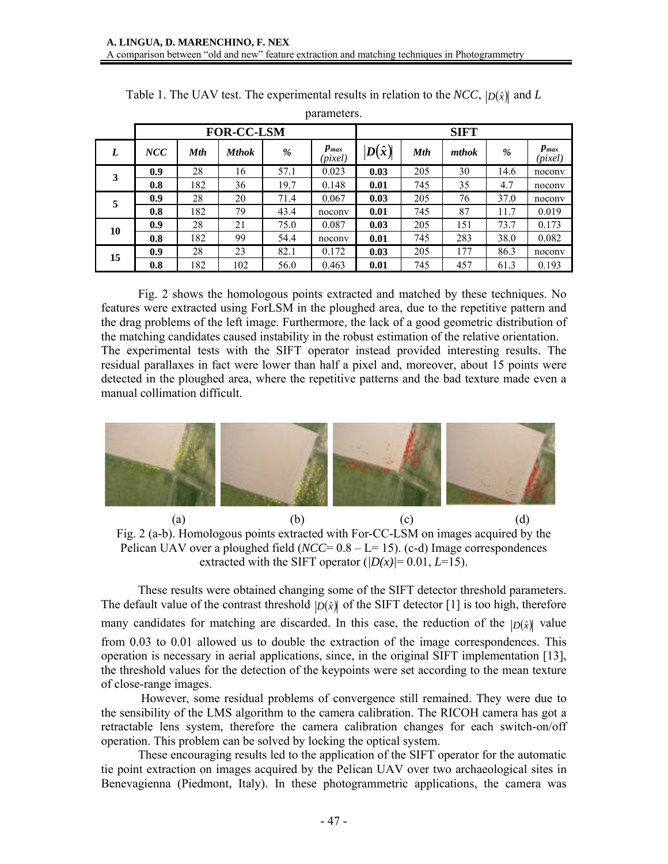|    |     |            | <b>FOR-CC-LSM</b> |      | <b>SIFT</b>                       |              |            |       |      |                                   |
|----|-----|------------|-------------------|------|-----------------------------------|--------------|------------|-------|------|-----------------------------------|
| L  | NCC | <b>Mth</b> | <b>Mthok</b>      | %    | $\boldsymbol{p}_{max}$<br>(pixel) | $D(\hat{x})$ | <b>Mth</b> | mthok | %    | $\boldsymbol{p}_{max}$<br>(pixel) |
| 3  | 0.9 | 28         | 16                | 57.1 | 0.023                             | 0.03         | 205        | 30    | 14.6 | nocony                            |
|    | 0.8 | 182        | 36                | 19.7 | 0.148                             | 0.01         | 745        | 35    | 4.7  | nocony                            |
| 5  | 0.9 | 28         | 20                | 71.4 | 0.067                             | 0.03         | 205        | 76    | 37.0 | nocony                            |
|    | 0.8 | 182        | 79                | 43.4 | nocony                            | 0.01         | 745        | 87    | 11.7 | 0.019                             |
| 10 | 0.9 | 28         | 21                | 75.0 | 0.087                             | 0.03         | 205        | 151   | 73.7 | 0.173                             |
|    | 0.8 | 182        | 99                | 54.4 | nocony                            | 0.01         | 745        | 283   | 38.0 | 0.082                             |
| 15 | 0.9 | 28         | 23                | 82.1 | 0.172                             | 0.03         | 205        | 177   | 86.3 | nocony                            |
|    | 0.8 | 182        | 102               | 56.0 | 0.463                             | 0.01         | 745        | 457   | 61.3 | 0.193                             |

Table 1. The UAV test. The experimental results in relation to the *NCC*,  $|D(\hat{x})|$  and *L* parameters.

Fig. 2 shows the homologous points extracted and matched by these techniques. No features were extracted using ForLSM in the ploughed area, due to the repetitive pattern and the drag problems of the left image. Furthermore, the lack of a good geometric distribution of the matching candidates caused instability in the robust estimation of the relative orientation. The experimental tests with the SIFT operator instead provided interesting results. The residual parallaxes in fact were lower than half a pixel and, moreover, about 15 points were detected in the ploughed area, where the repetitive patterns and the bad texture made even a manual collimation difficult.



(a) (b) (c) (d) Fig. 2 (a-b). Homologous points extracted with For-CC-LSM on images acquired by the Pelican UAV over a ploughed field (*NCC*= 0.8 – L= 15). (c-d) Image correspondences extracted with the SIFT operator  $(|D(x)| = 0.01, L=15)$ .

These results were obtained changing some of the SIFT detector threshold parameters. The default value of the contrast threshold  $|D(\hat{x})|$  of the SIFT detector [1] is too high, therefore many candidates for matching are discarded. In this case, the reduction of the  $|D(\hat{x})|$  value from 0.03 to 0.01 allowed us to double the extraction of the image correspondences. This operation is necessary in aerial applications, since, in the original SIFT implementation [13], the threshold values for the detection of the keypoints were set according to the mean texture of close-range images.

 However, some residual problems of convergence still remained. They were due to the sensibility of the LMS algorithm to the camera calibration. The RICOH camera has got a retractable lens system, therefore the camera calibration changes for each switch-on/off operation. This problem can be solved by locking the optical system.

These encouraging results led to the application of the SIFT operator for the automatic tie point extraction on images acquired by the Pelican UAV over two archaeological sites in Benevagienna (Piedmont, Italy). In these photogrammetric applications, the camera was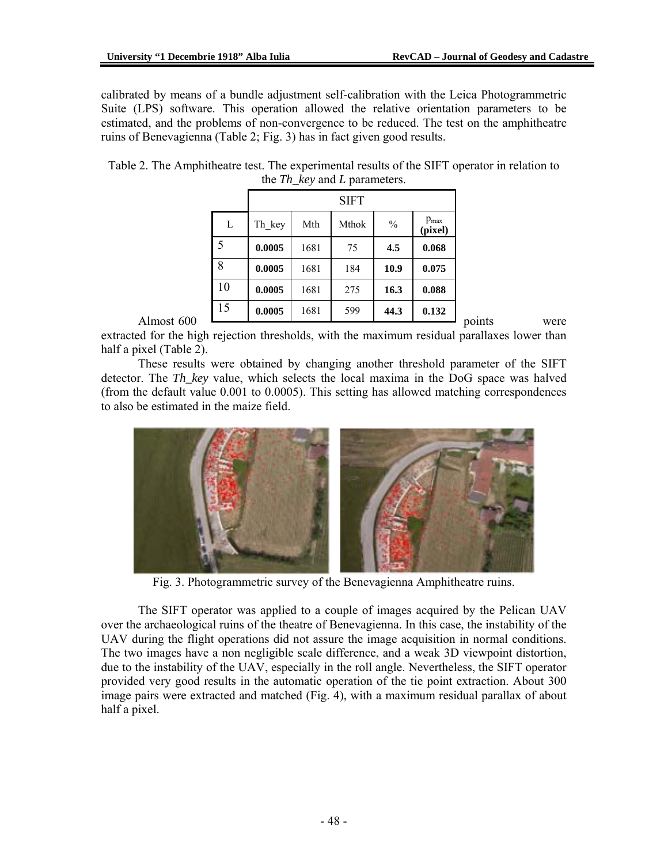calibrated by means of a bundle adjustment self-calibration with the Leica Photogrammetric Suite (LPS) software. This operation allowed the relative orientation parameters to be estimated, and the problems of non-convergence to be reduced. The test on the amphitheatre ruins of Benevagienna (Table 2; Fig. 3) has in fact given good results.

|            |    |        |      | <b>SIFT</b> |               |                             |        |      |
|------------|----|--------|------|-------------|---------------|-----------------------------|--------|------|
|            | L  | Th key | Mth  | Mthok       | $\frac{0}{0}$ | $p_{\text{max}}$<br>(pixel) |        |      |
|            | 5  | 0.0005 | 1681 | 75          | 4.5           | 0.068                       |        |      |
|            | 8  | 0.0005 | 1681 | 184         | 10.9          | 0.075                       |        |      |
|            | 10 | 0.0005 | 1681 | 275         | 16.3          | 0.088                       |        |      |
|            | 15 | 0.0005 | 1681 | 599         | 44.3          | 0.132                       |        |      |
| Almost 600 |    |        |      |             |               |                             | points | were |

Table 2. The Amphitheatre test. The experimental results of the SIFT operator in relation to the *Th\_key* and *L* parameters.

extracted for the high rejection thresholds, with the maximum residual parallaxes lower than half a pixel (Table 2).

These results were obtained by changing another threshold parameter of the SIFT detector. The *Th\_key* value, which selects the local maxima in the DoG space was halved (from the default value 0.001 to 0.0005). This setting has allowed matching correspondences to also be estimated in the maize field.



Fig. 3. Photogrammetric survey of the Benevagienna Amphitheatre ruins.

The SIFT operator was applied to a couple of images acquired by the Pelican UAV over the archaeological ruins of the theatre of Benevagienna. In this case, the instability of the UAV during the flight operations did not assure the image acquisition in normal conditions. The two images have a non negligible scale difference, and a weak 3D viewpoint distortion, due to the instability of the UAV, especially in the roll angle. Nevertheless, the SIFT operator provided very good results in the automatic operation of the tie point extraction. About 300 image pairs were extracted and matched (Fig. 4), with a maximum residual parallax of about half a pixel.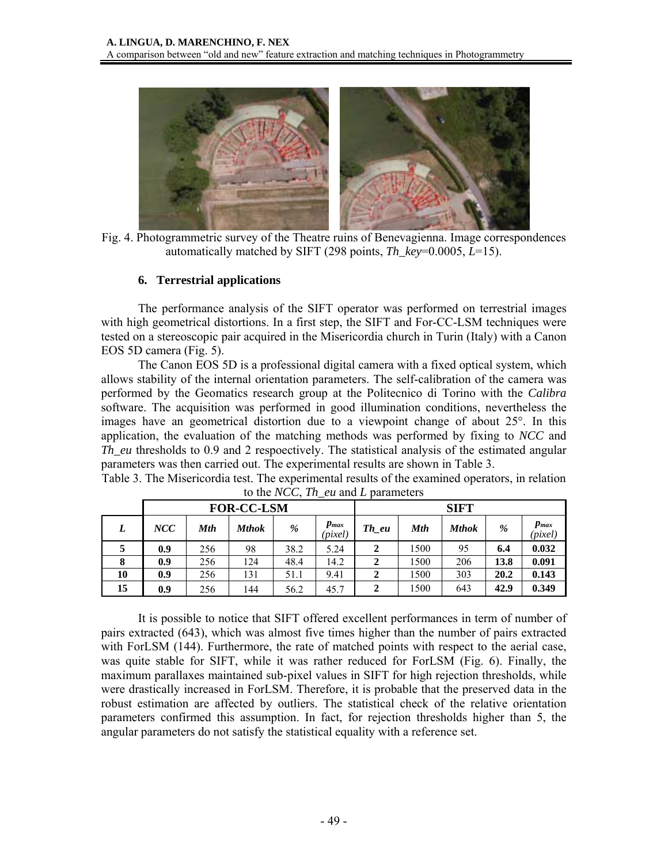

 Fig. 4. Photogrammetric survey of the Theatre ruins of Benevagienna. Image correspondences automatically matched by SIFT (298 points, *Th\_key*=0.0005, *L*=15).

#### **6. Terrestrial applications**

The performance analysis of the SIFT operator was performed on terrestrial images with high geometrical distortions. In a first step, the SIFT and For-CC-LSM techniques were tested on a stereoscopic pair acquired in the Misericordia church in Turin (Italy) with a Canon EOS 5D camera (Fig. 5).

The Canon EOS 5D is a professional digital camera with a fixed optical system, which allows stability of the internal orientation parameters. The self-calibration of the camera was performed by the Geomatics research group at the Politecnico di Torino with the *Calibra*  software. The acquisition was performed in good illumination conditions, nevertheless the images have an geometrical distortion due to a viewpoint change of about 25°. In this application, the evaluation of the matching methods was performed by fixing to *NCC* and *Th\_eu* thresholds to 0.9 and 2 respoectively. The statistical analysis of the estimated angular parameters was then carried out. The experimental results are shown in Table 3.

Table 3. The Misericordia test. The experimental results of the examined operators, in relation to the *NCC*, *Th\_eu* and *L* parameters

|    | <b>FOR-CC-LSM</b> |            |              |      |                      | <b>SIFT</b>             |            |              |               |                      |
|----|-------------------|------------|--------------|------|----------------------|-------------------------|------------|--------------|---------------|----------------------|
| L  | NCC               | <b>Mth</b> | <b>Mthok</b> | $\%$ | $p_{max}$<br>(pixel) | Th eu                   | <b>Mth</b> | <b>Mthok</b> | $\frac{9}{6}$ | $p_{max}$<br>(pixel) |
| 5  | 0.9               | 256        | 98           | 38.2 | 5.24                 | $\overline{\mathbf{2}}$ | 1500       | 95           | 6.4           | 0.032                |
| 8  | 0.9               | 256        | 124          | 48.4 | 14.2                 | $\overline{2}$          | 1500       | 206          | 13.8          | 0.091                |
| 10 | 0.9               | 256        | 131          | 51.1 | 9.41                 | $\mathbf{2}$            | 1500       | 303          | 20.2          | 0.143                |
| 15 | 0.9               | 256        | 144          | 56.2 | 45.7                 | 2                       | 1500       | 643          | 42.9          | 0.349                |

It is possible to notice that SIFT offered excellent performances in term of number of pairs extracted (643), which was almost five times higher than the number of pairs extracted with ForLSM (144). Furthermore, the rate of matched points with respect to the aerial case, was quite stable for SIFT, while it was rather reduced for ForLSM (Fig. 6). Finally, the maximum parallaxes maintained sub-pixel values in SIFT for high rejection thresholds, while were drastically increased in ForLSM. Therefore, it is probable that the preserved data in the robust estimation are affected by outliers. The statistical check of the relative orientation parameters confirmed this assumption. In fact, for rejection thresholds higher than 5, the angular parameters do not satisfy the statistical equality with a reference set.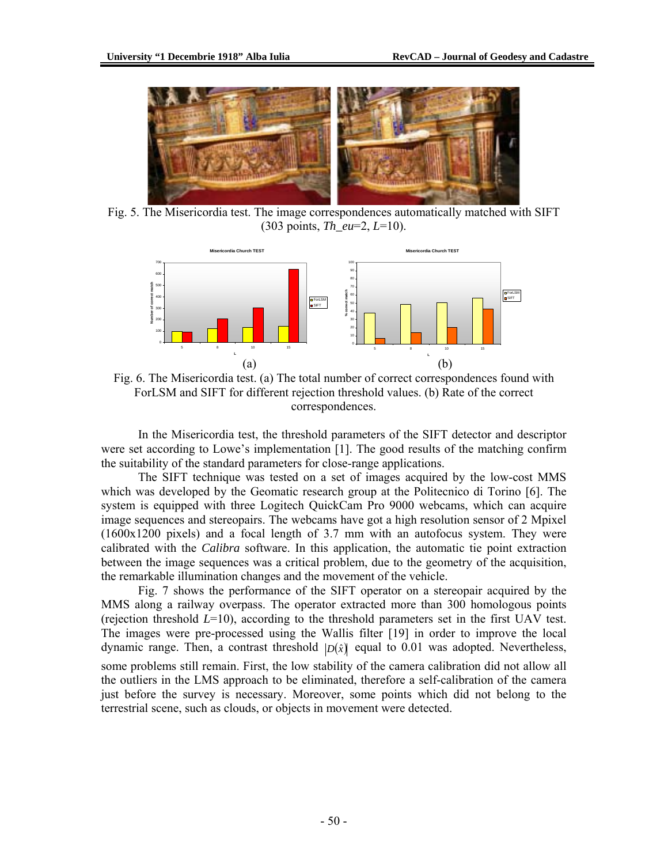

Fig. 5. The Misericordia test. The image correspondences automatically matched with SIFT (303 points, *Th\_eu*=2, *L*=10).



Fig. 6. The Misericordia test. (a) The total number of correct correspondences found with ForLSM and SIFT for different rejection threshold values. (b) Rate of the correct correspondences.

In the Misericordia test, the threshold parameters of the SIFT detector and descriptor were set according to Lowe's implementation [1]. The good results of the matching confirm the suitability of the standard parameters for close-range applications.

The SIFT technique was tested on a set of images acquired by the low-cost MMS which was developed by the Geomatic research group at the Politecnico di Torino [6]. The system is equipped with three Logitech QuickCam Pro 9000 webcams, which can acquire image sequences and stereopairs. The webcams have got a high resolution sensor of 2 Mpixel (1600x1200 pixels) and a focal length of 3.7 mm with an autofocus system. They were calibrated with the *Calibra* software. In this application, the automatic tie point extraction between the image sequences was a critical problem, due to the geometry of the acquisition, the remarkable illumination changes and the movement of the vehicle.

Fig. 7 shows the performance of the SIFT operator on a stereopair acquired by the MMS along a railway overpass. The operator extracted more than 300 homologous points (rejection threshold *L*=10), according to the threshold parameters set in the first UAV test. The images were pre-processed using the Wallis filter [19] in order to improve the local dynamic range. Then, a contrast threshold  $|D(\hat{x})|$  equal to 0.01 was adopted. Nevertheless, some problems still remain. First, the low stability of the camera calibration did not allow all the outliers in the LMS approach to be eliminated, therefore a self-calibration of the camera just before the survey is necessary. Moreover, some points which did not belong to the terrestrial scene, such as clouds, or objects in movement were detected.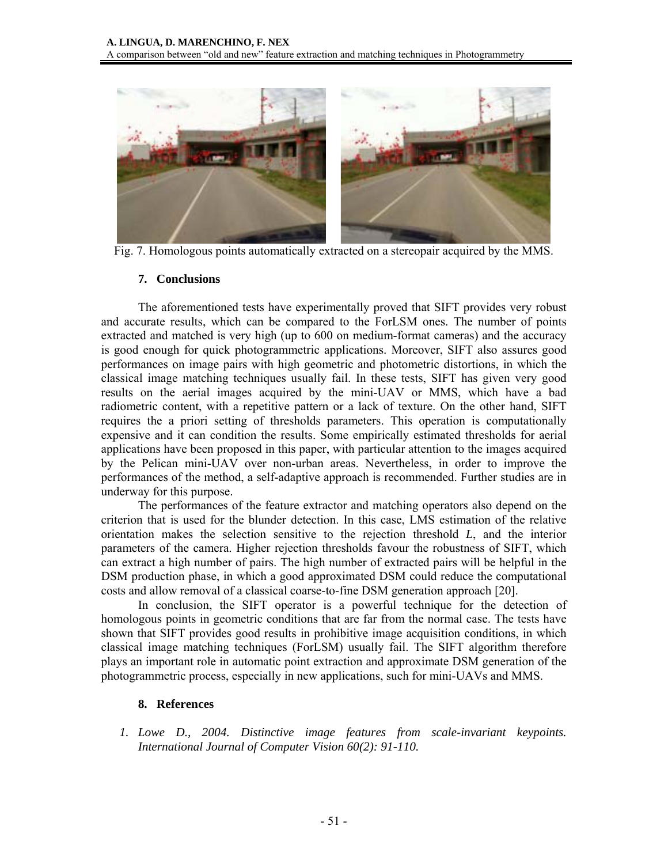

Fig. 7. Homologous points automatically extracted on a stereopair acquired by the MMS.

### **7. Conclusions**

The aforementioned tests have experimentally proved that SIFT provides very robust and accurate results, which can be compared to the ForLSM ones. The number of points extracted and matched is very high (up to 600 on medium-format cameras) and the accuracy is good enough for quick photogrammetric applications. Moreover, SIFT also assures good performances on image pairs with high geometric and photometric distortions, in which the classical image matching techniques usually fail. In these tests, SIFT has given very good results on the aerial images acquired by the mini-UAV or MMS, which have a bad radiometric content, with a repetitive pattern or a lack of texture. On the other hand, SIFT requires the a priori setting of thresholds parameters. This operation is computationally expensive and it can condition the results. Some empirically estimated thresholds for aerial applications have been proposed in this paper, with particular attention to the images acquired by the Pelican mini-UAV over non-urban areas. Nevertheless, in order to improve the performances of the method, a self-adaptive approach is recommended. Further studies are in underway for this purpose.

The performances of the feature extractor and matching operators also depend on the criterion that is used for the blunder detection. In this case, LMS estimation of the relative orientation makes the selection sensitive to the rejection threshold *L*, and the interior parameters of the camera. Higher rejection thresholds favour the robustness of SIFT, which can extract a high number of pairs. The high number of extracted pairs will be helpful in the DSM production phase, in which a good approximated DSM could reduce the computational costs and allow removal of a classical coarse-to-fine DSM generation approach [20].

In conclusion, the SIFT operator is a powerful technique for the detection of homologous points in geometric conditions that are far from the normal case. The tests have shown that SIFT provides good results in prohibitive image acquisition conditions, in which classical image matching techniques (ForLSM) usually fail. The SIFT algorithm therefore plays an important role in automatic point extraction and approximate DSM generation of the photogrammetric process, especially in new applications, such for mini-UAVs and MMS.

# **8. References**

*1. Lowe D., 2004. Distinctive image features from scale-invariant keypoints. International Journal of Computer Vision 60(2): 91-110.*